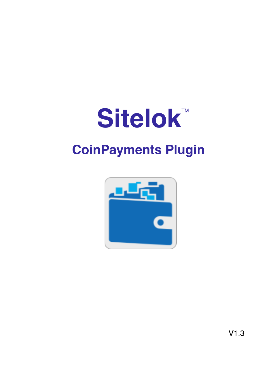# **Sitelok™**

# **CoinPayments Plugin**



V1.3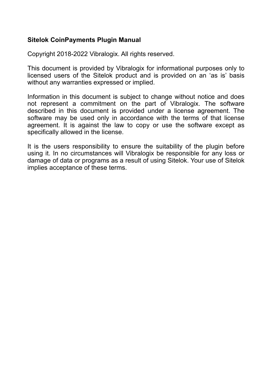#### **Sitelok CoinPayments Plugin Manual**

Copyright 2018-2022 Vibralogix. All rights reserved.

This document is provided by Vibralogix for informational purposes only to licensed users of the Sitelok product and is provided on an 'as is' basis without any warranties expressed or implied.

Information in this document is subject to change without notice and does not represent a commitment on the part of Vibralogix. The software described in this document is provided under a license agreement. The software may be used only in accordance with the terms of that license agreement. It is against the law to copy or use the software except as specifically allowed in the license.

It is the users responsibility to ensure the suitability of the plugin before using it. In no circumstances will Vibralogix be responsible for any loss or damage of data or programs as a result of using Sitelok. Your use of Sitelok implies acceptance of these terms.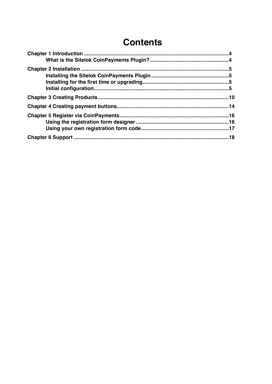### **Contents**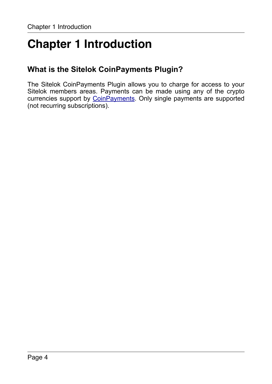# <span id="page-3-0"></span>**Chapter 1 Introduction**

#### <span id="page-3-1"></span>**What is the Sitelok CoinPayments Plugin?**

The Sitelok CoinPayments Plugin allows you to charge for access to your Sitelok members areas. Payments can be made using any of the crypto currencies support by [CoinPayments](https://www.coinpayments.net/index.php?ref=440fcfa309a2ae1cf03f4ce2e789c565). Only single payments are supported (not recurring subscriptions).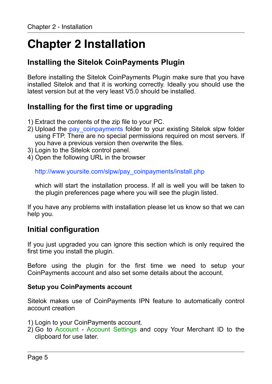# <span id="page-4-0"></span>**Chapter 2 Installation**

#### <span id="page-4-1"></span>**Installing the Sitelok CoinPayments Plugin**

Before installing the Sitelok CoinPayments Plugin make sure that you have installed Sitelok and that it is working correctly. Ideally you should use the latest version but at the very least V5.0 should be installed.

#### <span id="page-4-2"></span>**Installing for the first time or upgrading**

- 1) Extract the contents of the zip file to your PC.
- 2) Upload the pay\_coinpayments folder to your existing Sitelok slpw folder using FTP. There are no special permissions required on most servers. If you have a previous version then overwrite the files.
- 3) Login to the Sitelok control panel.
- 4) Open the following URL in the browser

http://www.yoursite.com/slpw/pay\_coinpayments/install.php

which will start the installation process. If all is well you will be taken to the plugin preferences page where you will see the plugin listed.

If you have any problems with installation please let us know so that we can help you.

#### <span id="page-4-3"></span>**Initial configuration**

If you just upgraded you can ignore this section which is only required the first time you install the plugin.

Before using the plugin for the first time we need to setup your CoinPayments account and also set some details about the account.

#### **Setup you CoinPayments account**

Sitelok makes use of CoinPayments IPN feature to automatically control account creation

- 1) Login to your CoinPayments account.
- 2) Go to Account Account Settings and copy Your Merchant ID to the clipboard for use later.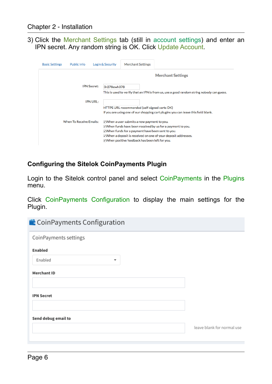3) Click the Merchant Settings tab (still in account settings) and enter an IPN secret. Any random string is OK. Click Update Account.

| <b>Basic Settings</b> | Public Info                    | <b>Login &amp; Security</b>       | <b>Merchant Settings</b>                         |                                                                                           |
|-----------------------|--------------------------------|-----------------------------------|--------------------------------------------------|-------------------------------------------------------------------------------------------|
|                       |                                |                                   |                                                  | <b>Merchant Settings</b>                                                                  |
|                       |                                | <b>IPN Secret:</b><br>3r278ewh378 |                                                  |                                                                                           |
|                       |                                |                                   |                                                  | This is used to verify that an IPN is from us, use a good random string nobody can guess. |
|                       |                                | <b>IPN URL:</b>                   |                                                  |                                                                                           |
|                       |                                |                                   | HTTPS URL recommended (self-signed certs OK)     |                                                                                           |
|                       |                                |                                   |                                                  | If you are using one of our shopping cart plugins you can leave this field blank.         |
|                       | <b>When To Receive Emails:</b> |                                   | VWhen a user submits a new payment to you.       |                                                                                           |
|                       |                                |                                   |                                                  | ⊽When funds have been received by us for a payment to you.                                |
|                       |                                |                                   | VWhen funds for a payment have been sent to you. |                                                                                           |
|                       |                                |                                   |                                                  | ○ When a deposit is received on one of your deposit addresses.                            |
|                       |                                |                                   | VWhen positive feedback has been left for you.   |                                                                                           |

#### **Configuring the Sitelok CoinPayments Plugin**

Login to the Sitelok control panel and select CoinPayments in the Plugins menu.

Click CoinPayments Configuration to display the main settings for the Plugin.

| <b>CoinPayments Configuration</b>   |                            |
|-------------------------------------|----------------------------|
| CoinPayments settings               |                            |
| Enabled                             |                            |
| Enabled<br>$\overline{\phantom{a}}$ |                            |
| <b>Merchant ID</b>                  |                            |
| <b>IPN Secret</b>                   |                            |
| Send debug email to                 | leave blank for normal use |
|                                     |                            |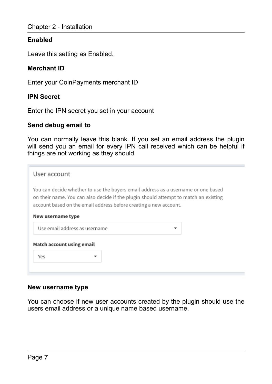#### **Enabled**

Leave this setting as Enabled.

#### **Merchant ID**

Enter your CoinPayments merchant ID

#### **IPN Secret**

Enter the IPN secret you set in your account

#### **Send debug email to**

You can normally leave this blank. If you set an email address the plugin will send you an email for every IPN call received which can be helpful if things are not working as they should.

| User account                                                                                                                                                                                                                                   |  |  |  |  |
|------------------------------------------------------------------------------------------------------------------------------------------------------------------------------------------------------------------------------------------------|--|--|--|--|
| You can decide whether to use the buyers email address as a username or one based<br>on their name. You can also decide if the plugin should attempt to match an existing<br>account based on the email address before creating a new account. |  |  |  |  |
| New username type                                                                                                                                                                                                                              |  |  |  |  |
| Use email address as username                                                                                                                                                                                                                  |  |  |  |  |
| Match account using email                                                                                                                                                                                                                      |  |  |  |  |
| Yes                                                                                                                                                                                                                                            |  |  |  |  |
|                                                                                                                                                                                                                                                |  |  |  |  |

#### **New username type**

You can choose if new user accounts created by the plugin should use the users email address or a unique name based username.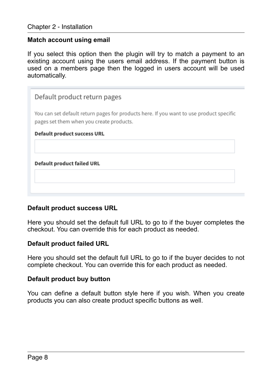#### **Match account using email**

If you select this option then the plugin will try to match a payment to an existing account using the users email address. If the payment button is used on a members page then the logged in users account will be used automatically.

#### Default product return pages

You can set default return pages for products here. If you want to use product specific pages set them when you create products.

#### **Default product success URL**

**Default product failed URL** 

#### **Default product success URL**

Here you should set the default full URL to go to if the buyer completes the checkout. You can override this for each product as needed.

#### **Default product failed URL**

Here you should set the default full URL to go to if the buyer decides to not complete checkout. You can override this for each product as needed.

#### **Default product buy button**

You can define a default button style here if you wish. When you create products you can also create product specific buttons as well.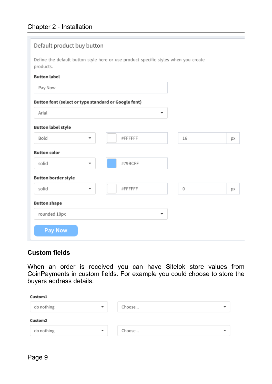| Default product buy button                           |                                                                                     |    |    |
|------------------------------------------------------|-------------------------------------------------------------------------------------|----|----|
| products.                                            | Define the default button style here or use product specific styles when you create |    |    |
| <b>Button label</b>                                  |                                                                                     |    |    |
| Pay Now                                              |                                                                                     |    |    |
| Button font (select or type standard or Google font) |                                                                                     |    |    |
| Arial                                                | ۰                                                                                   |    |    |
| <b>Button label style</b>                            |                                                                                     |    |    |
| Bold                                                 | #FFFFFF                                                                             | 16 | px |
| <b>Button color</b>                                  |                                                                                     |    |    |
| solid<br>▼                                           | #79BCFF                                                                             |    |    |
| <b>Button border style</b>                           |                                                                                     |    |    |
| solid                                                | #FFFFFF                                                                             | 0  | px |
| <b>Button shape</b>                                  |                                                                                     |    |    |
| rounded 10px                                         | ▼                                                                                   |    |    |
| <b>Pay Now</b>                                       |                                                                                     |    |    |

#### **Custom fields**

When an order is received you can have Sitelok store values from CoinPayments in custom fields. For example you could choose to store the buyers address details.

| Custom1    |                         |        |   |
|------------|-------------------------|--------|---|
| do nothing | $\overline{\mathbf{v}}$ | Choose | ▼ |
| Custom2    |                         |        |   |
|            |                         |        |   |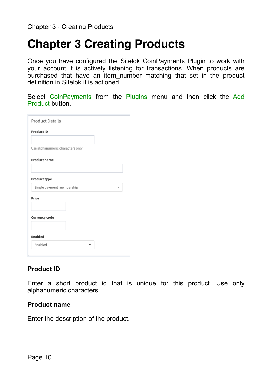## <span id="page-9-0"></span>**Chapter 3 Creating Products**

Once you have configured the Sitelok CoinPayments Plugin to work with your account it is actively listening for transactions. When products are purchased that have an item number matching that set in the product definition in Sitelok it is actioned.

Select CoinPayments from the Plugins menu and then click the Add Product button.

| <b>Product Details</b>           |  |
|----------------------------------|--|
| <b>Product ID</b>                |  |
|                                  |  |
| Use alphanumeric characters only |  |
| <b>Product name</b>              |  |
| Product type                     |  |
| Single payment membership        |  |
| Price                            |  |
|                                  |  |
| <b>Currency code</b>             |  |
|                                  |  |
| <b>Enabled</b>                   |  |
| Enabled                          |  |
|                                  |  |

#### **Product ID**

Enter a short product id that is unique for this product. Use only alphanumeric characters.

#### **Product name**

Enter the description of the product.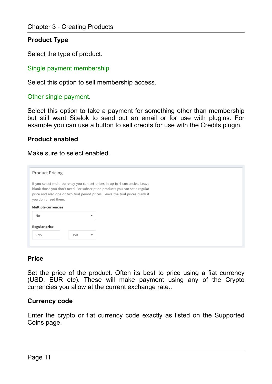#### **Product Type**

Select the type of product.

Single payment membership

Select this option to sell membership access.

Other single payment.

Select this option to take a payment for something other than membership but still want Sitelok to send out an email or for use with plugins. For example you can use a button to sell credits for use with the Credits plugin.

#### **Product enabled**

Make sure to select enabled.

| <b>Product Pricing</b>           |                                                                                                                                                                                                                                               |                          |
|----------------------------------|-----------------------------------------------------------------------------------------------------------------------------------------------------------------------------------------------------------------------------------------------|--------------------------|
| you don't need them.             | If you select multi currency you can set prices in up to 4 currencies. Leave<br>blank those you don't need. For subscription products you can set a regular<br>price and also one or two trial period prices. Leave the trial prices blank if |                          |
| <b>Multiple currencies</b><br>No |                                                                                                                                                                                                                                               | $\overline{\phantom{a}}$ |
| Regular price                    |                                                                                                                                                                                                                                               |                          |
| 9.95                             | <b>USD</b>                                                                                                                                                                                                                                    | $\overline{\phantom{a}}$ |

#### **Price**

Set the price of the product. Often its best to price using a fiat currency (USD, EUR etc). These will make payment using any of the Crypto currencies you allow at the current exchange rate..

#### **Currency code**

Enter the crypto or fiat currency code exactly as listed on the Supported Coins page.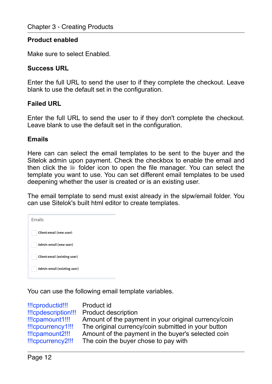#### **Product enabled**

Make sure to select Enabled.

#### **Success URL**

Enter the full URL to send the user to if they complete the checkout. Leave blank to use the default set in the configuration.

#### **Failed URL**

Enter the full URL to send the user to if they don't complete the checkout. Leave blank to use the default set in the configuration.

#### **Emails**

Here can can select the email templates to be sent to the buyer and the Sitelok admin upon payment. Check the checkbox to enable the email and then click the **folder** icon to open the file manager. You can select the template you want to use. You can set different email templates to be used deepening whether the user is created or is an existing user.

The email template to send must exist already in the slpw/email folder. You can use Sitelok's built html editor to create templates.

| Emails                              |
|-------------------------------------|
| Client email (new user)             |
| Admin email (new user)              |
| <b>Client email (existing user)</b> |
| Admin email (existing user)         |

You can use the following email template variables.

| !!!cproductid!!!    | Product id                                           |
|---------------------|------------------------------------------------------|
| !!!cpdescription!!! | <b>Product description</b>                           |
| !!!cpamount1!!!     | Amount of the payment in your original currency/coin |
| !!!cpcurrency1!!!   | The original currency/coin submitted in your button  |
| !!!cpamount2!!!     | Amount of the payment in the buyer's selected coin   |
| !!!cpcurrency2!!!   | The coin the buyer chose to pay with                 |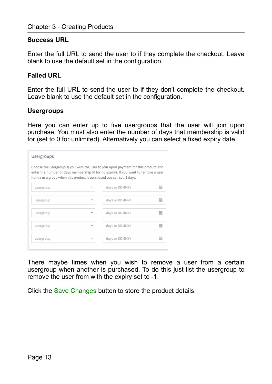#### **Success URL**

Enter the full URL to send the user to if they complete the checkout. Leave blank to use the default set in the configuration.

#### **Failed URL**

Enter the full URL to send the user to if they don't complete the checkout. Leave blank to use the default set in the configuration.

#### **Usergroups**

Here you can enter up to five usergroups that the user will join upon purchase. You must also enter the number of days that membership is valid for (set to 0 for unlimited). Alternatively you can select a fixed expiry date.

| Usergroups                                                           |   |                                                                                                                                                                            |   |
|----------------------------------------------------------------------|---|----------------------------------------------------------------------------------------------------------------------------------------------------------------------------|---|
| from a usergroup when this product is purchased you can set -1 days. |   | Choose the usergroup(s) you wish the user to join upon payment for this product and<br>enter the number of days membership (0 for no expiry). If you want to remove a user |   |
| usergroup                                                            |   | days or DDMMYY                                                                                                                                                             | 誧 |
| usergroup                                                            | ÷ | days or DDMMYY                                                                                                                                                             | 藟 |
| usergroup                                                            | ÷ | days or DDMMYY                                                                                                                                                             | 萹 |
| usergroup                                                            | ÷ | days or DDMMYY                                                                                                                                                             | 萹 |
| usergroup                                                            | v | days or DDMMYY                                                                                                                                                             | 萹 |

There maybe times when you wish to remove a user from a certain usergroup when another is purchased. To do this just list the usergroup to remove the user from with the expiry set to -1.

Click the Save Changes button to store the product details.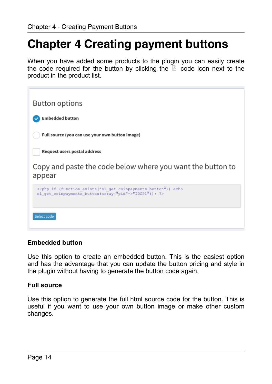# <span id="page-13-0"></span>**Chapter 4 Creating payment buttons**

When you have added some products to the plugin you can easily create the code required for the button by clicking the  $\overline{a}$  code icon next to the product in the product list.

| <b>Button options</b>                                                                                                   |
|-------------------------------------------------------------------------------------------------------------------------|
| <b>Embedded button</b>                                                                                                  |
| Full source (you can use your own button image)                                                                         |
| Request users postal address                                                                                            |
| Copy and paste the code below where you want the button to<br>appear                                                    |
| php if (function exists ("sl_get_coinpayments_button")) echo<br sl get coinpayments button (array ("pid"=>"IDCP1")); ?> |
| Select code                                                                                                             |

#### **Embedded button**

Use this option to create an embedded button. This is the easiest option and has the advantage that you can update the button pricing and style in the plugin without having to generate the button code again.

#### **Full source**

Use this option to generate the full html source code for the button. This is useful if you want to use your own button image or make other custom changes.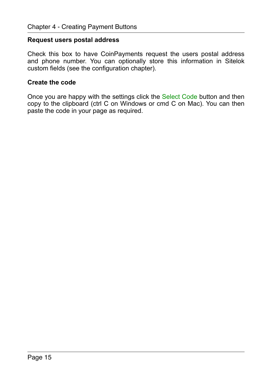#### **Request users postal address**

Check this box to have CoinPayments request the users postal address and phone number. You can optionally store this information in Sitelok custom fields (see the configuration chapter).

#### **Create the code**

Once you are happy with the settings click the Select Code button and then copy to the clipboard (ctrl C on Windows or cmd C on Mac). You can then paste the code in your page as required.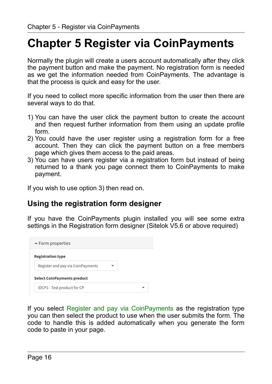# <span id="page-15-0"></span>**Chapter 5 Register via CoinPayments**

Normally the plugin will create a users account automatically after they click the payment button and make the payment. No registration form is needed as we get the information needed from CoinPayments. The advantage is that the process is quick and easy for the user.

If you need to collect more specific information from the user then there are several ways to do that.

- 1) You can have the user click the payment button to create the account and then request further information from them using an update profile form.
- 2) You could have the user register using a registration form for a free account. Then they can click the payment button on a free members page which gives them access to the paid areas.
- 3) You can have users register via a registration form but instead of being returned to a thank you page connect them to CoinPayments to make payment.

If you wish to use option 3) then read on.

#### <span id="page-15-1"></span>**Using the registration form designer**

If you have the CoinPayments plugin installed you will see some extra settings in the Registration form designer (Sitelok V5.6 or above required)



If you select Register and pay via CoinPayments as the registration type you can then select the product to use when the user submits the form. The code to handle this is added automatically when you generate the form code to paste in your page.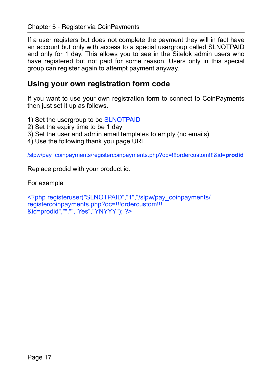If a user registers but does not complete the payment they will in fact have an account but only with access to a special usergroup called SLNOTPAID and only for 1 day. This allows you to see in the Sitelok admin users who have registered but not paid for some reason. Users only in this special group can register again to attempt payment anyway.

#### <span id="page-16-0"></span>**Using your own registration form code**

If you want to use your own registration form to connect to CoinPayments then just set it up as follows.

- 1) Set the usergroup to be SLNOTPAID
- 2) Set the expiry time to be 1 day
- 3) Set the user and admin email templates to empty (no emails)
- 4) Use the following thank you page URL

/slpw/pay\_coinpayments/registercoinpayments.php?oc=!!!ordercustom!!!&id=**prodid**

Replace prodid with your product id.

For example

<?php registeruser("SLNOTPAID","1","/slpw/pay\_coinpayments/ registercoinpayments.php?oc=!!!ordercustom!!! &id=prodid","","","Yes","YNYYY"); ?>